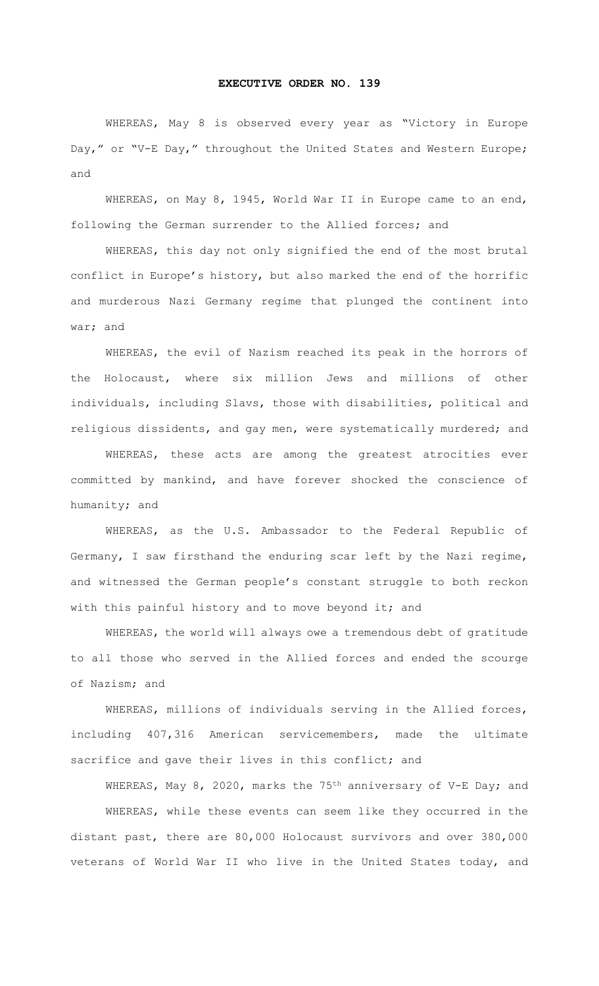## **EXECUTIVE ORDER NO. 139**

WHEREAS, May 8 is observed every year as "Victory in Europe Day," or "V-E Day," throughout the United States and Western Europe; and

WHEREAS, on May 8, 1945, World War II in Europe came to an end, following the German surrender to the Allied forces; and

WHEREAS, this day not only signified the end of the most brutal conflict in Europe's history, but also marked the end of the horrific and murderous Nazi Germany regime that plunged the continent into war; and

WHEREAS, the evil of Nazism reached its peak in the horrors of the Holocaust, where six million Jews and millions of other individuals, including Slavs, those with disabilities, political and religious dissidents, and gay men, were systematically murdered; and

WHEREAS, these acts are among the greatest atrocities ever committed by mankind, and have forever shocked the conscience of humanity; and

WHEREAS, as the U.S. Ambassador to the Federal Republic of Germany, I saw firsthand the enduring scar left by the Nazi regime, and witnessed the German people's constant struggle to both reckon with this painful history and to move beyond it; and

WHEREAS, the world will always owe a tremendous debt of gratitude to all those who served in the Allied forces and ended the scourge of Nazism; and

WHEREAS, millions of individuals serving in the Allied forces, including 407,316 American servicemembers, made the ultimate sacrifice and gave their lives in this conflict; and

WHEREAS, May 8, 2020, marks the 75<sup>th</sup> anniversary of V-E Day; and

WHEREAS, while these events can seem like they occurred in the distant past, there are 80,000 Holocaust survivors and over 380,000 veterans of World War II who live in the United States today, and